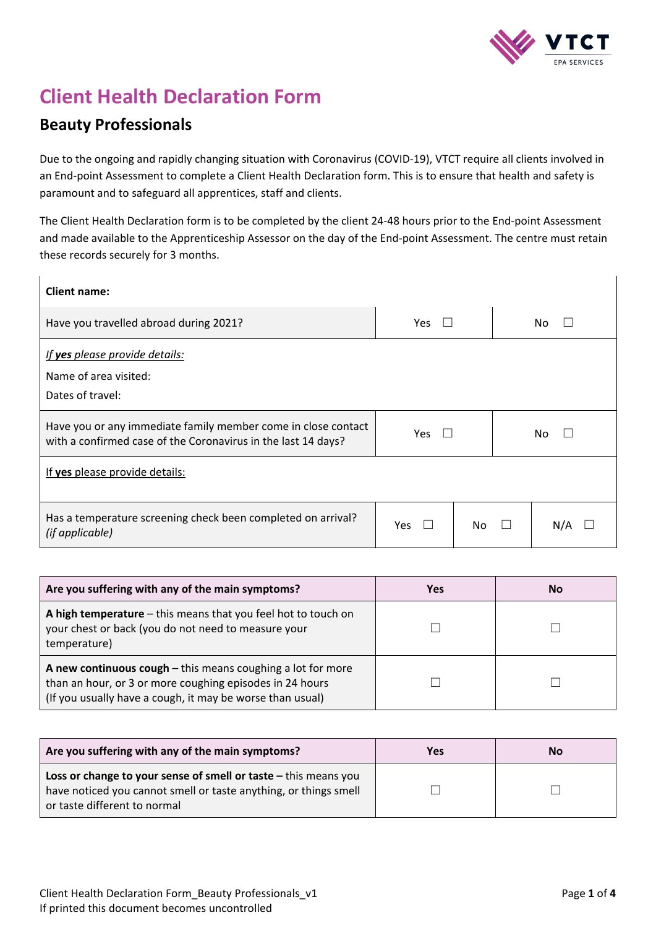

# **Client Health Declaration Form**

# **Beauty Professionals**

Due to the ongoing and rapidly changing situation with Coronavirus (COVID-19), VTCT require all clients involved in an End-point Assessment to complete a Client Health Declaration form. This is to ensure that health and safety is paramount and to safeguard all apprentices, staff and clients.

The Client Health Declaration form is to be completed by the client 24-48 hours prior to the End-point Assessment and made available to the Apprenticeship Assessor on the day of the End-point Assessment. The centre must retain these records securely for 3 months.

| <b>Client name:</b>                                                                                                            |           |     |     |
|--------------------------------------------------------------------------------------------------------------------------------|-----------|-----|-----|
| Have you travelled abroad during 2021?<br>Yes<br>No                                                                            |           |     |     |
| If yes please provide details:<br>Name of area visited:<br>Dates of travel:                                                    |           |     |     |
| Have you or any immediate family member come in close contact<br>with a confirmed case of the Coronavirus in the last 14 days? | Yes<br>Nο |     |     |
| If yes please provide details:                                                                                                 |           |     |     |
| Has a temperature screening check been completed on arrival?<br>(if applicable)                                                | Yes       | No. | N/A |

| Are you suffering with any of the main symptoms?                                                                                                                                       | <b>Yes</b> | No |
|----------------------------------------------------------------------------------------------------------------------------------------------------------------------------------------|------------|----|
| A high temperature $-$ this means that you feel hot to touch on<br>your chest or back (you do not need to measure your<br>temperature)                                                 |            |    |
| A new continuous $cough$ - this means coughing a lot for more<br>than an hour, or 3 or more coughing episodes in 24 hours<br>(If you usually have a cough, it may be worse than usual) |            |    |

| Are you suffering with any of the main symptoms?                                                                                                                    | <b>Yes</b> | <b>No</b> |
|---------------------------------------------------------------------------------------------------------------------------------------------------------------------|------------|-----------|
| Loss or change to your sense of smell or taste - this means you<br>have noticed you cannot smell or taste anything, or things smell<br>or taste different to normal |            |           |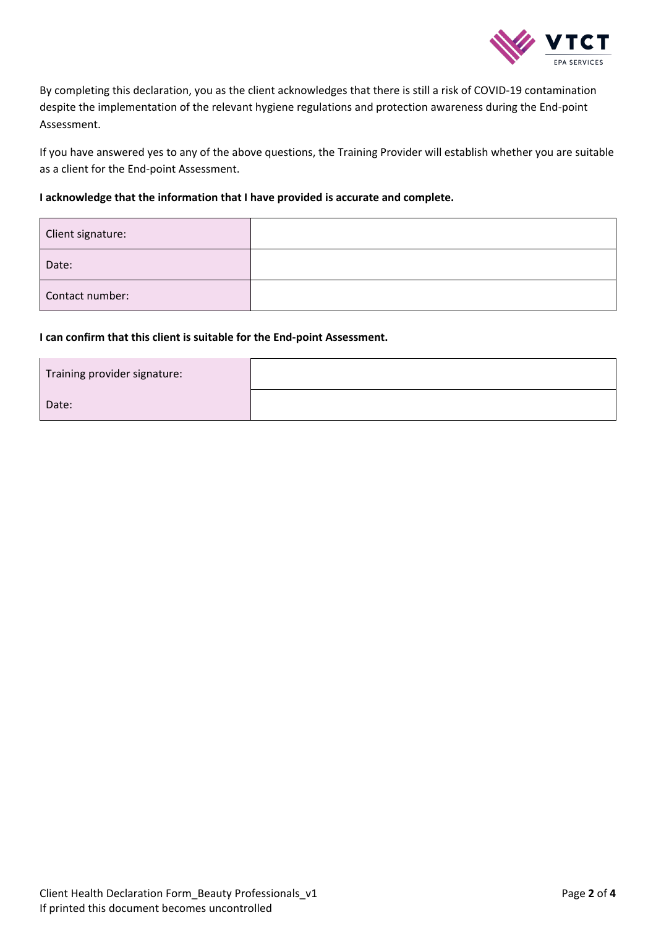

By completing this declaration, you as the client acknowledges that there is still a risk of COVID-19 contamination despite the implementation of the relevant hygiene regulations and protection awareness during the End-point Assessment.

If you have answered yes to any of the above questions, the Training Provider will establish whether you are suitable as a client for the End-point Assessment.

## **I acknowledge that the information that I have provided is accurate and complete.**

| Client signature: |  |
|-------------------|--|
| Date:             |  |
| Contact number:   |  |

### **I can confirm that this client is suitable for the End-point Assessment.**

| Training provider signature: |  |
|------------------------------|--|
| Date:                        |  |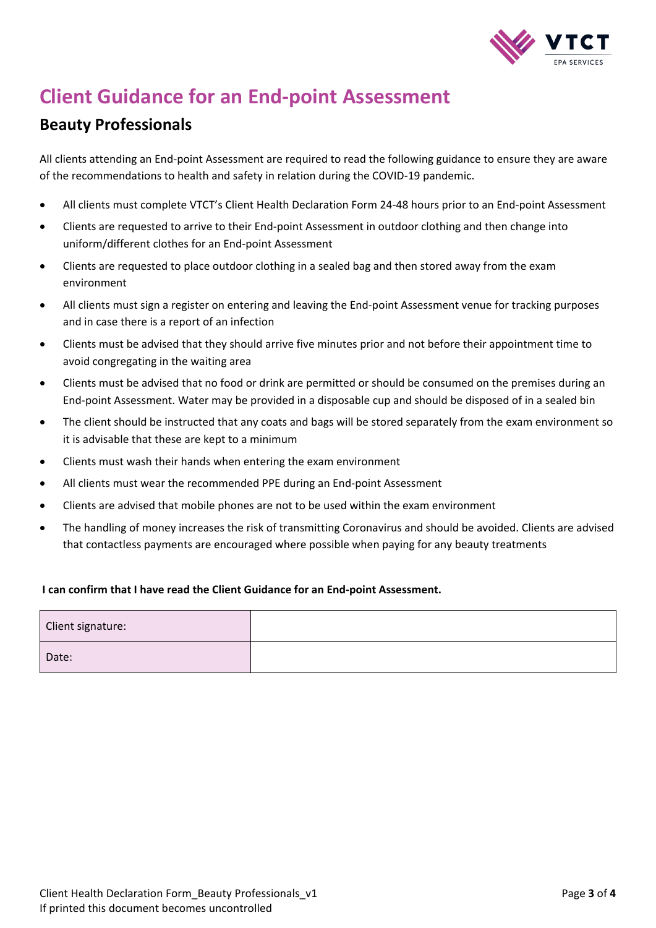

# **Client Guidance for an End-point Assessment**

# **Beauty Professionals**

All clients attending an End-point Assessment are required to read the following guidance to ensure they are aware of the recommendations to health and safety in relation during the COVID-19 pandemic.

- All clients must complete VTCT's Client Health Declaration Form 24-48 hours prior to an End-point Assessment
- Clients are requested to arrive to their End-point Assessment in outdoor clothing and then change into uniform/different clothes for an End-point Assessment
- Clients are requested to place outdoor clothing in a sealed bag and then stored away from the exam environment
- All clients must sign a register on entering and leaving the End-point Assessment venue for tracking purposes and in case there is a report of an infection
- Clients must be advised that they should arrive five minutes prior and not before their appointment time to avoid congregating in the waiting area
- Clients must be advised that no food or drink are permitted or should be consumed on the premises during an End-point Assessment. Water may be provided in a disposable cup and should be disposed of in a sealed bin
- The client should be instructed that any coats and bags will be stored separately from the exam environment so it is advisable that these are kept to a minimum
- Clients must wash their hands when entering the exam environment
- All clients must wear the recommended PPE during an End-point Assessment
- Clients are advised that mobile phones are not to be used within the exam environment
- The handling of money increases the risk of transmitting Coronavirus and should be avoided. Clients are advised that contactless payments are encouraged where possible when paying for any beauty treatments

## **I can confirm that I have read the Client Guidance for an End-point Assessment.**

| Client signature: |  |
|-------------------|--|
| Date:             |  |